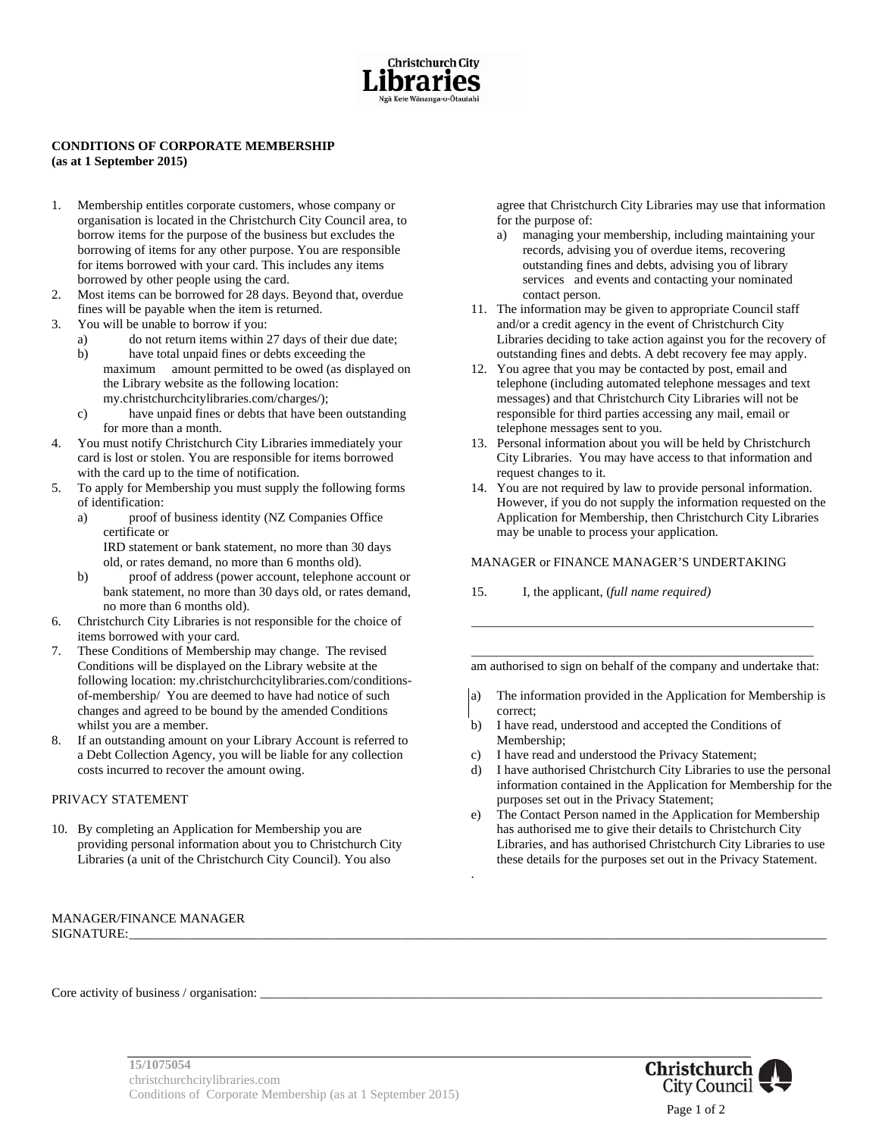

#### **CONDITIONS OF CORPORATE MEMBERSHIP (as at 1 September 2015)**

- 1. Membership entitles corporate customers, whose company or organisation is located in the Christchurch City Council area, to borrow items for the purpose of the business but excludes the borrowing of items for any other purpose. You are responsible for items borrowed with your card. This includes any items borrowed by other people using the card.
- 2. Most items can be borrowed for 28 days. Beyond that, overdue fines will be payable when the item is returned.
- 3. You will be unable to borrow if you:
	- a) do not return items within 27 days of their due date;
	- b) have total unpaid fines or debts exceeding the maximum amount permitted to be owed (as displayed on the Library website as the following location: my.christchurchcitylibraries.com/charges/);
	- c) have unpaid fines or debts that have been outstanding for more than a month.
- 4. You must notify Christchurch City Libraries immediately your card is lost or stolen. You are responsible for items borrowed with the card up to the time of notification.
- 5. To apply for Membership you must supply the following forms of identification:
	- a) proof of business identity (NZ Companies Office certificate or IRD statement or bank statement, no more than 30 days
		- old, or rates demand, no more than 6 months old).
	- b) proof of address (power account, telephone account or bank statement, no more than 30 days old, or rates demand, no more than 6 months old).
- 6. Christchurch City Libraries is not responsible for the choice of items borrowed with your card.
- 7. These Conditions of Membership may change. The revised Conditions will be displayed on the Library website at the following location: my.christchurchcitylibraries.com/conditionsof-membership/ You are deemed to have had notice of such changes and agreed to be bound by the amended Conditions whilst you are a member.
- 8. If an outstanding amount on your Library Account is referred to a Debt Collection Agency, you will be liable for any collection costs incurred to recover the amount owing.

### PRIVACY STATEMENT

10. By completing an Application for Membership you are providing personal information about you to Christchurch City Libraries (a unit of the Christchurch City Council). You also

#### MANAGER/FINANCE MANAGER SIGNATURE:\_\_\_\_\_\_\_\_\_\_\_\_\_\_\_\_\_\_\_\_\_\_\_\_\_\_\_\_\_\_\_\_\_\_\_\_\_\_\_\_\_\_\_\_\_\_\_\_\_\_\_\_\_\_\_\_\_\_\_\_\_\_\_\_\_\_\_\_\_\_\_\_\_\_\_\_\_\_\_\_\_\_\_\_\_\_\_\_\_\_\_\_\_\_\_\_\_\_\_\_\_\_\_\_\_\_\_\_

agree that Christchurch City Libraries may use that information for the purpose of:

- a) managing your membership, including maintaining your records, advising you of overdue items, recovering outstanding fines and debts, advising you of library services and events and contacting your nominated contact person.
- 11. The information may be given to appropriate Council staff and/or a credit agency in the event of Christchurch City Libraries deciding to take action against you for the recovery of outstanding fines and debts. A debt recovery fee may apply.
- 12. You agree that you may be contacted by post, email and telephone (including automated telephone messages and text messages) and that Christchurch City Libraries will not be responsible for third parties accessing any mail, email or telephone messages sent to you.
- 13. Personal information about you will be held by Christchurch City Libraries. You may have access to that information and request changes to it.
- 14. You are not required by law to provide personal information. However, if you do not supply the information requested on the Application for Membership, then Christchurch City Libraries may be unable to process your application.

#### MANAGER or FINANCE MANAGER'S UNDERTAKING

15. I, the applicant, (*full name required)* 

\_\_\_\_\_\_\_\_\_\_\_\_\_\_\_\_\_\_\_\_\_\_\_\_\_\_\_\_\_\_\_\_\_\_\_\_\_\_\_\_\_\_\_\_\_\_\_\_\_\_\_\_\_ am authorised to sign on behalf of the company and undertake that:

\_\_\_\_\_\_\_\_\_\_\_\_\_\_\_\_\_\_\_\_\_\_\_\_\_\_\_\_\_\_\_\_\_\_\_\_\_\_\_\_\_\_\_\_\_\_\_\_\_\_\_\_\_

- a) The information provided in the Application for Membership is correct;
- b) I have read, understood and accepted the Conditions of Membership;
- c) I have read and understood the Privacy Statement;

.

- d) I have authorised Christchurch City Libraries to use the personal information contained in the Application for Membership for the purposes set out in the Privacy Statement;
- e) The Contact Person named in the Application for Membership has authorised me to give their details to Christchurch City Libraries, and has authorised Christchurch City Libraries to use these details for the purposes set out in the Privacy Statement.

Core activity of business / organisation: